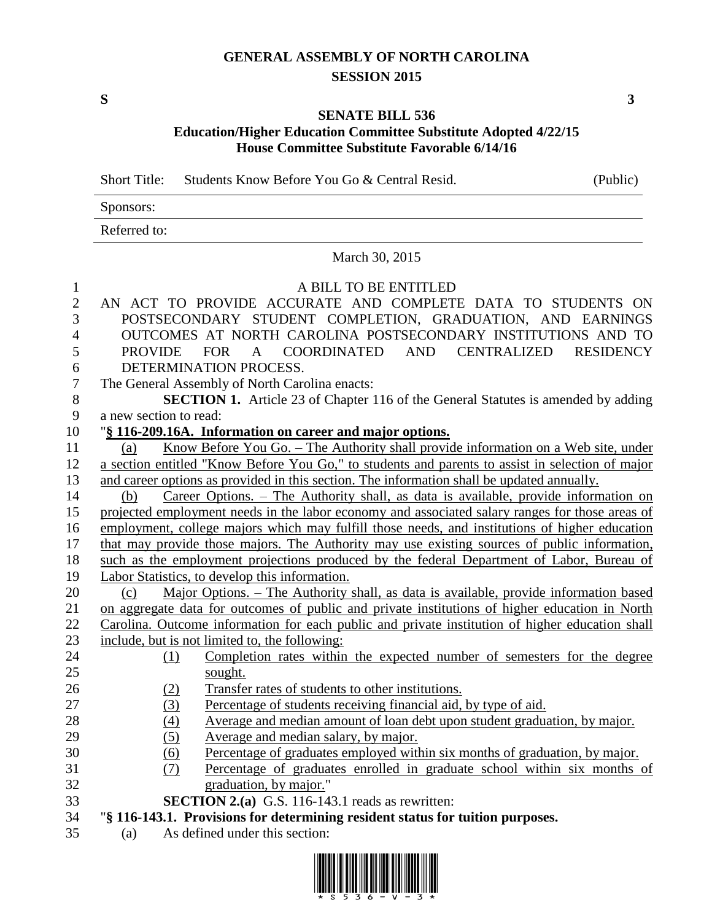## **GENERAL ASSEMBLY OF NORTH CAROLINA SESSION 2015**

**S 3**

## **SENATE BILL 536 Education/Higher Education Committee Substitute Adopted 4/22/15 House Committee Substitute Favorable 6/14/16**

Short Title: Students Know Before You Go & Central Resid. (Public)

| Sponsors:    |  |
|--------------|--|
| Referred to: |  |

March 30, 2015

| $\mathbf{1}$   | A BILL TO BE ENTITLED                                                                            |  |  |  |  |
|----------------|--------------------------------------------------------------------------------------------------|--|--|--|--|
| $\overline{2}$ | AN ACT TO PROVIDE ACCURATE AND COMPLETE DATA TO STUDENTS ON                                      |  |  |  |  |
| 3              | POSTSECONDARY STUDENT COMPLETION, GRADUATION, AND EARNINGS                                       |  |  |  |  |
| 4              | OUTCOMES AT NORTH CAROLINA POSTSECONDARY INSTITUTIONS AND TO                                     |  |  |  |  |
| 5              | <b>PROVIDE</b><br>FOR A COORDINATED AND CENTRALIZED<br><b>RESIDENCY</b>                          |  |  |  |  |
| 6              | DETERMINATION PROCESS.                                                                           |  |  |  |  |
| 7              | The General Assembly of North Carolina enacts:                                                   |  |  |  |  |
| 8              | <b>SECTION 1.</b> Article 23 of Chapter 116 of the General Statutes is amended by adding         |  |  |  |  |
| 9              | a new section to read:                                                                           |  |  |  |  |
| 10             | "§ 116-209.16A. Information on career and major options.                                         |  |  |  |  |
| 11             | Know Before You Go. – The Authority shall provide information on a Web site, under<br>(a)        |  |  |  |  |
| 12             | a section entitled "Know Before You Go," to students and parents to assist in selection of major |  |  |  |  |
| 13             | and career options as provided in this section. The information shall be updated annually.       |  |  |  |  |
| 14             | Career Options. – The Authority shall, as data is available, provide information on<br>(b)       |  |  |  |  |
| 15             | projected employment needs in the labor economy and associated salary ranges for those areas of  |  |  |  |  |
| 16             | employment, college majors which may fulfill those needs, and institutions of higher education   |  |  |  |  |
| 17             | that may provide those majors. The Authority may use existing sources of public information,     |  |  |  |  |
| 18             | such as the employment projections produced by the federal Department of Labor, Bureau of        |  |  |  |  |
| 19             | Labor Statistics, to develop this information.                                                   |  |  |  |  |
| 20             | Major Options. – The Authority shall, as data is available, provide information based<br>(c)     |  |  |  |  |
| 21             | on aggregate data for outcomes of public and private institutions of higher education in North   |  |  |  |  |
| 22             | Carolina. Outcome information for each public and private institution of higher education shall  |  |  |  |  |
| 23             | include, but is not limited to, the following:                                                   |  |  |  |  |
| 24             | Completion rates within the expected number of semesters for the degree<br>(1)                   |  |  |  |  |
| 25             | sought.                                                                                          |  |  |  |  |
| 26             | Transfer rates of students to other institutions.<br>(2)                                         |  |  |  |  |
| 27             | Percentage of students receiving financial aid, by type of aid.<br>(3)                           |  |  |  |  |
| 28             | Average and median amount of loan debt upon student graduation, by major.<br>(4)                 |  |  |  |  |
| 29             | (5)<br>Average and median salary, by major.                                                      |  |  |  |  |
| 30             | Percentage of graduates employed within six months of graduation, by major.<br><u>(6)</u>        |  |  |  |  |
| 31             | Percentage of graduates enrolled in graduate school within six months of<br><u>(7)</u>           |  |  |  |  |
| 32             | graduation, by major."                                                                           |  |  |  |  |
| 33             | <b>SECTION 2.(a)</b> G.S. 116-143.1 reads as rewritten:                                          |  |  |  |  |
| 34             | "§ 116-143.1. Provisions for determining resident status for tuition purposes.                   |  |  |  |  |
| 35             | As defined under this section:<br>(a)                                                            |  |  |  |  |
|                |                                                                                                  |  |  |  |  |
|                |                                                                                                  |  |  |  |  |

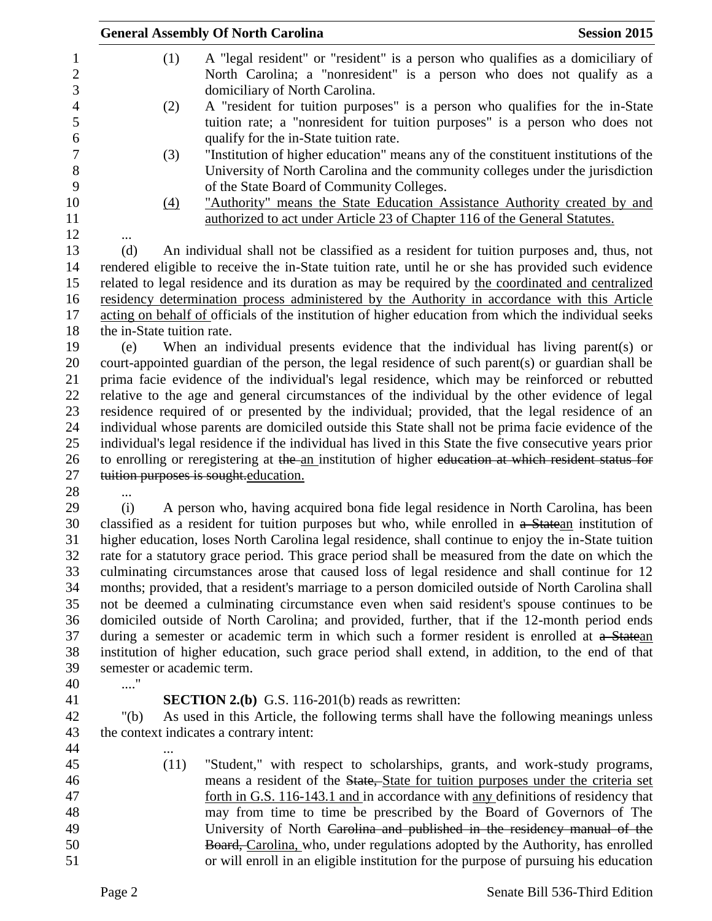| A "legal resident" or "resident" is a person who qualifies as a domiciliary of<br>(1)<br>$\mathbf{1}$<br>$\overline{2}$<br>North Carolina; a "nonresident" is a person who does not qualify as a<br>3<br>domiciliary of North Carolina.<br>$\overline{4}$<br>A "resident for tuition purposes" is a person who qualifies for the in-State<br>(2)<br>5<br>tuition rate; a "nonresident for tuition purposes" is a person who does not<br>qualify for the in-State tuition rate.<br>6<br>$\tau$<br>"Institution of higher education" means any of the constituent institutions of the<br>(3)<br>8<br>University of North Carolina and the community colleges under the jurisdiction<br>9<br>of the State Board of Community Colleges.<br>10<br>"Authority" means the State Education Assistance Authority created by and<br>$\left(4\right)$<br>11<br>authorized to act under Article 23 of Chapter 116 of the General Statutes.<br>12<br>13<br>An individual shall not be classified as a resident for tuition purposes and, thus, not<br>(d)<br>14<br>rendered eligible to receive the in-State tuition rate, until he or she has provided such evidence<br>related to legal residence and its duration as may be required by the coordinated and centralized<br>15<br>residency determination process administered by the Authority in accordance with this Article<br>16<br>17<br>acting on behalf of officials of the institution of higher education from which the individual seeks<br>18<br>the in-State tuition rate.<br>19<br>When an individual presents evidence that the individual has living parent(s) or<br>(e)<br>court-appointed guardian of the person, the legal residence of such parent(s) or guardian shall be<br>20<br>21<br>prima facie evidence of the individual's legal residence, which may be reinforced or rebutted<br>relative to the age and general circumstances of the individual by the other evidence of legal<br>22<br>23<br>residence required of or presented by the individual; provided, that the legal residence of an<br>24<br>individual whose parents are domiciled outside this State shall not be prima facie evidence of the<br>25<br>individual's legal residence if the individual has lived in this State the five consecutive years prior<br>26<br>to enrolling or reregistering at the an institution of higher education at which resident status for<br>27<br>tuition purposes is sought education.<br>28<br>A person who, having acquired bona fide legal residence in North Carolina, has been<br>29<br>(i)<br>30<br>classified as a resident for tuition purposes but who, while enrolled in a Statean institution of<br>31<br>higher education, loses North Carolina legal residence, shall continue to enjoy the in-State tuition<br>32<br>rate for a statutory grace period. This grace period shall be measured from the date on which the<br>33<br>culminating circumstances arose that caused loss of legal residence and shall continue for 12<br>months; provided, that a resident's marriage to a person domiciled outside of North Carolina shall<br>34<br>not be deemed a culminating circumstance even when said resident's spouse continues to be<br>35<br>domiciled outside of North Carolina; and provided, further, that if the 12-month period ends<br>36<br>37<br>during a semester or academic term in which such a former resident is enrolled at a Statean<br>38<br>institution of higher education, such grace period shall extend, in addition, to the end of that<br>39<br>semester or academic term.<br>"<br>40<br><b>SECTION 2.(b)</b> G.S. 116-201(b) reads as rewritten:<br>41<br>42<br>As used in this Article, the following terms shall have the following meanings unless<br>" $(b)$<br>43<br>the context indicates a contrary intent:<br>44<br>45<br>(11)<br>"Student," with respect to scholarships, grants, and work-study programs,<br>means a resident of the State, State for tuition purposes under the criteria set<br>46<br>47<br>forth in G.S. 116-143.1 and in accordance with any definitions of residency that<br>48<br>may from time to time be prescribed by the Board of Governors of The<br>University of North Carolina and published in the residency manual of the<br>49<br>Board, Carolina, who, under regulations adopted by the Authority, has enrolled<br>50<br>or will enroll in an eligible institution for the purpose of pursuing his education<br>51 | <b>General Assembly Of North Carolina</b> |  | <b>Session 2015</b> |  |
|-----------------------------------------------------------------------------------------------------------------------------------------------------------------------------------------------------------------------------------------------------------------------------------------------------------------------------------------------------------------------------------------------------------------------------------------------------------------------------------------------------------------------------------------------------------------------------------------------------------------------------------------------------------------------------------------------------------------------------------------------------------------------------------------------------------------------------------------------------------------------------------------------------------------------------------------------------------------------------------------------------------------------------------------------------------------------------------------------------------------------------------------------------------------------------------------------------------------------------------------------------------------------------------------------------------------------------------------------------------------------------------------------------------------------------------------------------------------------------------------------------------------------------------------------------------------------------------------------------------------------------------------------------------------------------------------------------------------------------------------------------------------------------------------------------------------------------------------------------------------------------------------------------------------------------------------------------------------------------------------------------------------------------------------------------------------------------------------------------------------------------------------------------------------------------------------------------------------------------------------------------------------------------------------------------------------------------------------------------------------------------------------------------------------------------------------------------------------------------------------------------------------------------------------------------------------------------------------------------------------------------------------------------------------------------------------------------------------------------------------------------------------------------------------------------------------------------------------------------------------------------------------------------------------------------------------------------------------------------------------------------------------------------------------------------------------------------------------------------------------------------------------------------------------------------------------------------------------------------------------------------------------------------------------------------------------------------------------------------------------------------------------------------------------------------------------------------------------------------------------------------------------------------------------------------------------------------------------------------------------------------------------------------------------------------------------------------------------------------------------------------------------------------------------------------------------------------------------------------------------------------------------------------------------------------------------------------------------------------------------------------------------------------------------------------------------------------------------------------------------------------------------------------------------------------------------------------------------------------------------------------------------------------------------------------------------------------------------------------------------------------------------------------------------------------------------------------------------------------|-------------------------------------------|--|---------------------|--|
|                                                                                                                                                                                                                                                                                                                                                                                                                                                                                                                                                                                                                                                                                                                                                                                                                                                                                                                                                                                                                                                                                                                                                                                                                                                                                                                                                                                                                                                                                                                                                                                                                                                                                                                                                                                                                                                                                                                                                                                                                                                                                                                                                                                                                                                                                                                                                                                                                                                                                                                                                                                                                                                                                                                                                                                                                                                                                                                                                                                                                                                                                                                                                                                                                                                                                                                                                                                                                                                                                                                                                                                                                                                                                                                                                                                                                                                                                                                                                                                                                                                                                                                                                                                                                                                                                                                                                                                                                                                                             |                                           |  |                     |  |
|                                                                                                                                                                                                                                                                                                                                                                                                                                                                                                                                                                                                                                                                                                                                                                                                                                                                                                                                                                                                                                                                                                                                                                                                                                                                                                                                                                                                                                                                                                                                                                                                                                                                                                                                                                                                                                                                                                                                                                                                                                                                                                                                                                                                                                                                                                                                                                                                                                                                                                                                                                                                                                                                                                                                                                                                                                                                                                                                                                                                                                                                                                                                                                                                                                                                                                                                                                                                                                                                                                                                                                                                                                                                                                                                                                                                                                                                                                                                                                                                                                                                                                                                                                                                                                                                                                                                                                                                                                                                             |                                           |  |                     |  |
|                                                                                                                                                                                                                                                                                                                                                                                                                                                                                                                                                                                                                                                                                                                                                                                                                                                                                                                                                                                                                                                                                                                                                                                                                                                                                                                                                                                                                                                                                                                                                                                                                                                                                                                                                                                                                                                                                                                                                                                                                                                                                                                                                                                                                                                                                                                                                                                                                                                                                                                                                                                                                                                                                                                                                                                                                                                                                                                                                                                                                                                                                                                                                                                                                                                                                                                                                                                                                                                                                                                                                                                                                                                                                                                                                                                                                                                                                                                                                                                                                                                                                                                                                                                                                                                                                                                                                                                                                                                                             |                                           |  |                     |  |
|                                                                                                                                                                                                                                                                                                                                                                                                                                                                                                                                                                                                                                                                                                                                                                                                                                                                                                                                                                                                                                                                                                                                                                                                                                                                                                                                                                                                                                                                                                                                                                                                                                                                                                                                                                                                                                                                                                                                                                                                                                                                                                                                                                                                                                                                                                                                                                                                                                                                                                                                                                                                                                                                                                                                                                                                                                                                                                                                                                                                                                                                                                                                                                                                                                                                                                                                                                                                                                                                                                                                                                                                                                                                                                                                                                                                                                                                                                                                                                                                                                                                                                                                                                                                                                                                                                                                                                                                                                                                             |                                           |  |                     |  |
|                                                                                                                                                                                                                                                                                                                                                                                                                                                                                                                                                                                                                                                                                                                                                                                                                                                                                                                                                                                                                                                                                                                                                                                                                                                                                                                                                                                                                                                                                                                                                                                                                                                                                                                                                                                                                                                                                                                                                                                                                                                                                                                                                                                                                                                                                                                                                                                                                                                                                                                                                                                                                                                                                                                                                                                                                                                                                                                                                                                                                                                                                                                                                                                                                                                                                                                                                                                                                                                                                                                                                                                                                                                                                                                                                                                                                                                                                                                                                                                                                                                                                                                                                                                                                                                                                                                                                                                                                                                                             |                                           |  |                     |  |
|                                                                                                                                                                                                                                                                                                                                                                                                                                                                                                                                                                                                                                                                                                                                                                                                                                                                                                                                                                                                                                                                                                                                                                                                                                                                                                                                                                                                                                                                                                                                                                                                                                                                                                                                                                                                                                                                                                                                                                                                                                                                                                                                                                                                                                                                                                                                                                                                                                                                                                                                                                                                                                                                                                                                                                                                                                                                                                                                                                                                                                                                                                                                                                                                                                                                                                                                                                                                                                                                                                                                                                                                                                                                                                                                                                                                                                                                                                                                                                                                                                                                                                                                                                                                                                                                                                                                                                                                                                                                             |                                           |  |                     |  |
|                                                                                                                                                                                                                                                                                                                                                                                                                                                                                                                                                                                                                                                                                                                                                                                                                                                                                                                                                                                                                                                                                                                                                                                                                                                                                                                                                                                                                                                                                                                                                                                                                                                                                                                                                                                                                                                                                                                                                                                                                                                                                                                                                                                                                                                                                                                                                                                                                                                                                                                                                                                                                                                                                                                                                                                                                                                                                                                                                                                                                                                                                                                                                                                                                                                                                                                                                                                                                                                                                                                                                                                                                                                                                                                                                                                                                                                                                                                                                                                                                                                                                                                                                                                                                                                                                                                                                                                                                                                                             |                                           |  |                     |  |
|                                                                                                                                                                                                                                                                                                                                                                                                                                                                                                                                                                                                                                                                                                                                                                                                                                                                                                                                                                                                                                                                                                                                                                                                                                                                                                                                                                                                                                                                                                                                                                                                                                                                                                                                                                                                                                                                                                                                                                                                                                                                                                                                                                                                                                                                                                                                                                                                                                                                                                                                                                                                                                                                                                                                                                                                                                                                                                                                                                                                                                                                                                                                                                                                                                                                                                                                                                                                                                                                                                                                                                                                                                                                                                                                                                                                                                                                                                                                                                                                                                                                                                                                                                                                                                                                                                                                                                                                                                                                             |                                           |  |                     |  |
|                                                                                                                                                                                                                                                                                                                                                                                                                                                                                                                                                                                                                                                                                                                                                                                                                                                                                                                                                                                                                                                                                                                                                                                                                                                                                                                                                                                                                                                                                                                                                                                                                                                                                                                                                                                                                                                                                                                                                                                                                                                                                                                                                                                                                                                                                                                                                                                                                                                                                                                                                                                                                                                                                                                                                                                                                                                                                                                                                                                                                                                                                                                                                                                                                                                                                                                                                                                                                                                                                                                                                                                                                                                                                                                                                                                                                                                                                                                                                                                                                                                                                                                                                                                                                                                                                                                                                                                                                                                                             |                                           |  |                     |  |
|                                                                                                                                                                                                                                                                                                                                                                                                                                                                                                                                                                                                                                                                                                                                                                                                                                                                                                                                                                                                                                                                                                                                                                                                                                                                                                                                                                                                                                                                                                                                                                                                                                                                                                                                                                                                                                                                                                                                                                                                                                                                                                                                                                                                                                                                                                                                                                                                                                                                                                                                                                                                                                                                                                                                                                                                                                                                                                                                                                                                                                                                                                                                                                                                                                                                                                                                                                                                                                                                                                                                                                                                                                                                                                                                                                                                                                                                                                                                                                                                                                                                                                                                                                                                                                                                                                                                                                                                                                                                             |                                           |  |                     |  |
|                                                                                                                                                                                                                                                                                                                                                                                                                                                                                                                                                                                                                                                                                                                                                                                                                                                                                                                                                                                                                                                                                                                                                                                                                                                                                                                                                                                                                                                                                                                                                                                                                                                                                                                                                                                                                                                                                                                                                                                                                                                                                                                                                                                                                                                                                                                                                                                                                                                                                                                                                                                                                                                                                                                                                                                                                                                                                                                                                                                                                                                                                                                                                                                                                                                                                                                                                                                                                                                                                                                                                                                                                                                                                                                                                                                                                                                                                                                                                                                                                                                                                                                                                                                                                                                                                                                                                                                                                                                                             |                                           |  |                     |  |
|                                                                                                                                                                                                                                                                                                                                                                                                                                                                                                                                                                                                                                                                                                                                                                                                                                                                                                                                                                                                                                                                                                                                                                                                                                                                                                                                                                                                                                                                                                                                                                                                                                                                                                                                                                                                                                                                                                                                                                                                                                                                                                                                                                                                                                                                                                                                                                                                                                                                                                                                                                                                                                                                                                                                                                                                                                                                                                                                                                                                                                                                                                                                                                                                                                                                                                                                                                                                                                                                                                                                                                                                                                                                                                                                                                                                                                                                                                                                                                                                                                                                                                                                                                                                                                                                                                                                                                                                                                                                             |                                           |  |                     |  |
|                                                                                                                                                                                                                                                                                                                                                                                                                                                                                                                                                                                                                                                                                                                                                                                                                                                                                                                                                                                                                                                                                                                                                                                                                                                                                                                                                                                                                                                                                                                                                                                                                                                                                                                                                                                                                                                                                                                                                                                                                                                                                                                                                                                                                                                                                                                                                                                                                                                                                                                                                                                                                                                                                                                                                                                                                                                                                                                                                                                                                                                                                                                                                                                                                                                                                                                                                                                                                                                                                                                                                                                                                                                                                                                                                                                                                                                                                                                                                                                                                                                                                                                                                                                                                                                                                                                                                                                                                                                                             |                                           |  |                     |  |
|                                                                                                                                                                                                                                                                                                                                                                                                                                                                                                                                                                                                                                                                                                                                                                                                                                                                                                                                                                                                                                                                                                                                                                                                                                                                                                                                                                                                                                                                                                                                                                                                                                                                                                                                                                                                                                                                                                                                                                                                                                                                                                                                                                                                                                                                                                                                                                                                                                                                                                                                                                                                                                                                                                                                                                                                                                                                                                                                                                                                                                                                                                                                                                                                                                                                                                                                                                                                                                                                                                                                                                                                                                                                                                                                                                                                                                                                                                                                                                                                                                                                                                                                                                                                                                                                                                                                                                                                                                                                             |                                           |  |                     |  |
|                                                                                                                                                                                                                                                                                                                                                                                                                                                                                                                                                                                                                                                                                                                                                                                                                                                                                                                                                                                                                                                                                                                                                                                                                                                                                                                                                                                                                                                                                                                                                                                                                                                                                                                                                                                                                                                                                                                                                                                                                                                                                                                                                                                                                                                                                                                                                                                                                                                                                                                                                                                                                                                                                                                                                                                                                                                                                                                                                                                                                                                                                                                                                                                                                                                                                                                                                                                                                                                                                                                                                                                                                                                                                                                                                                                                                                                                                                                                                                                                                                                                                                                                                                                                                                                                                                                                                                                                                                                                             |                                           |  |                     |  |
|                                                                                                                                                                                                                                                                                                                                                                                                                                                                                                                                                                                                                                                                                                                                                                                                                                                                                                                                                                                                                                                                                                                                                                                                                                                                                                                                                                                                                                                                                                                                                                                                                                                                                                                                                                                                                                                                                                                                                                                                                                                                                                                                                                                                                                                                                                                                                                                                                                                                                                                                                                                                                                                                                                                                                                                                                                                                                                                                                                                                                                                                                                                                                                                                                                                                                                                                                                                                                                                                                                                                                                                                                                                                                                                                                                                                                                                                                                                                                                                                                                                                                                                                                                                                                                                                                                                                                                                                                                                                             |                                           |  |                     |  |
|                                                                                                                                                                                                                                                                                                                                                                                                                                                                                                                                                                                                                                                                                                                                                                                                                                                                                                                                                                                                                                                                                                                                                                                                                                                                                                                                                                                                                                                                                                                                                                                                                                                                                                                                                                                                                                                                                                                                                                                                                                                                                                                                                                                                                                                                                                                                                                                                                                                                                                                                                                                                                                                                                                                                                                                                                                                                                                                                                                                                                                                                                                                                                                                                                                                                                                                                                                                                                                                                                                                                                                                                                                                                                                                                                                                                                                                                                                                                                                                                                                                                                                                                                                                                                                                                                                                                                                                                                                                                             |                                           |  |                     |  |
|                                                                                                                                                                                                                                                                                                                                                                                                                                                                                                                                                                                                                                                                                                                                                                                                                                                                                                                                                                                                                                                                                                                                                                                                                                                                                                                                                                                                                                                                                                                                                                                                                                                                                                                                                                                                                                                                                                                                                                                                                                                                                                                                                                                                                                                                                                                                                                                                                                                                                                                                                                                                                                                                                                                                                                                                                                                                                                                                                                                                                                                                                                                                                                                                                                                                                                                                                                                                                                                                                                                                                                                                                                                                                                                                                                                                                                                                                                                                                                                                                                                                                                                                                                                                                                                                                                                                                                                                                                                                             |                                           |  |                     |  |
|                                                                                                                                                                                                                                                                                                                                                                                                                                                                                                                                                                                                                                                                                                                                                                                                                                                                                                                                                                                                                                                                                                                                                                                                                                                                                                                                                                                                                                                                                                                                                                                                                                                                                                                                                                                                                                                                                                                                                                                                                                                                                                                                                                                                                                                                                                                                                                                                                                                                                                                                                                                                                                                                                                                                                                                                                                                                                                                                                                                                                                                                                                                                                                                                                                                                                                                                                                                                                                                                                                                                                                                                                                                                                                                                                                                                                                                                                                                                                                                                                                                                                                                                                                                                                                                                                                                                                                                                                                                                             |                                           |  |                     |  |
|                                                                                                                                                                                                                                                                                                                                                                                                                                                                                                                                                                                                                                                                                                                                                                                                                                                                                                                                                                                                                                                                                                                                                                                                                                                                                                                                                                                                                                                                                                                                                                                                                                                                                                                                                                                                                                                                                                                                                                                                                                                                                                                                                                                                                                                                                                                                                                                                                                                                                                                                                                                                                                                                                                                                                                                                                                                                                                                                                                                                                                                                                                                                                                                                                                                                                                                                                                                                                                                                                                                                                                                                                                                                                                                                                                                                                                                                                                                                                                                                                                                                                                                                                                                                                                                                                                                                                                                                                                                                             |                                           |  |                     |  |
|                                                                                                                                                                                                                                                                                                                                                                                                                                                                                                                                                                                                                                                                                                                                                                                                                                                                                                                                                                                                                                                                                                                                                                                                                                                                                                                                                                                                                                                                                                                                                                                                                                                                                                                                                                                                                                                                                                                                                                                                                                                                                                                                                                                                                                                                                                                                                                                                                                                                                                                                                                                                                                                                                                                                                                                                                                                                                                                                                                                                                                                                                                                                                                                                                                                                                                                                                                                                                                                                                                                                                                                                                                                                                                                                                                                                                                                                                                                                                                                                                                                                                                                                                                                                                                                                                                                                                                                                                                                                             |                                           |  |                     |  |
|                                                                                                                                                                                                                                                                                                                                                                                                                                                                                                                                                                                                                                                                                                                                                                                                                                                                                                                                                                                                                                                                                                                                                                                                                                                                                                                                                                                                                                                                                                                                                                                                                                                                                                                                                                                                                                                                                                                                                                                                                                                                                                                                                                                                                                                                                                                                                                                                                                                                                                                                                                                                                                                                                                                                                                                                                                                                                                                                                                                                                                                                                                                                                                                                                                                                                                                                                                                                                                                                                                                                                                                                                                                                                                                                                                                                                                                                                                                                                                                                                                                                                                                                                                                                                                                                                                                                                                                                                                                                             |                                           |  |                     |  |
|                                                                                                                                                                                                                                                                                                                                                                                                                                                                                                                                                                                                                                                                                                                                                                                                                                                                                                                                                                                                                                                                                                                                                                                                                                                                                                                                                                                                                                                                                                                                                                                                                                                                                                                                                                                                                                                                                                                                                                                                                                                                                                                                                                                                                                                                                                                                                                                                                                                                                                                                                                                                                                                                                                                                                                                                                                                                                                                                                                                                                                                                                                                                                                                                                                                                                                                                                                                                                                                                                                                                                                                                                                                                                                                                                                                                                                                                                                                                                                                                                                                                                                                                                                                                                                                                                                                                                                                                                                                                             |                                           |  |                     |  |
|                                                                                                                                                                                                                                                                                                                                                                                                                                                                                                                                                                                                                                                                                                                                                                                                                                                                                                                                                                                                                                                                                                                                                                                                                                                                                                                                                                                                                                                                                                                                                                                                                                                                                                                                                                                                                                                                                                                                                                                                                                                                                                                                                                                                                                                                                                                                                                                                                                                                                                                                                                                                                                                                                                                                                                                                                                                                                                                                                                                                                                                                                                                                                                                                                                                                                                                                                                                                                                                                                                                                                                                                                                                                                                                                                                                                                                                                                                                                                                                                                                                                                                                                                                                                                                                                                                                                                                                                                                                                             |                                           |  |                     |  |
|                                                                                                                                                                                                                                                                                                                                                                                                                                                                                                                                                                                                                                                                                                                                                                                                                                                                                                                                                                                                                                                                                                                                                                                                                                                                                                                                                                                                                                                                                                                                                                                                                                                                                                                                                                                                                                                                                                                                                                                                                                                                                                                                                                                                                                                                                                                                                                                                                                                                                                                                                                                                                                                                                                                                                                                                                                                                                                                                                                                                                                                                                                                                                                                                                                                                                                                                                                                                                                                                                                                                                                                                                                                                                                                                                                                                                                                                                                                                                                                                                                                                                                                                                                                                                                                                                                                                                                                                                                                                             |                                           |  |                     |  |
|                                                                                                                                                                                                                                                                                                                                                                                                                                                                                                                                                                                                                                                                                                                                                                                                                                                                                                                                                                                                                                                                                                                                                                                                                                                                                                                                                                                                                                                                                                                                                                                                                                                                                                                                                                                                                                                                                                                                                                                                                                                                                                                                                                                                                                                                                                                                                                                                                                                                                                                                                                                                                                                                                                                                                                                                                                                                                                                                                                                                                                                                                                                                                                                                                                                                                                                                                                                                                                                                                                                                                                                                                                                                                                                                                                                                                                                                                                                                                                                                                                                                                                                                                                                                                                                                                                                                                                                                                                                                             |                                           |  |                     |  |
|                                                                                                                                                                                                                                                                                                                                                                                                                                                                                                                                                                                                                                                                                                                                                                                                                                                                                                                                                                                                                                                                                                                                                                                                                                                                                                                                                                                                                                                                                                                                                                                                                                                                                                                                                                                                                                                                                                                                                                                                                                                                                                                                                                                                                                                                                                                                                                                                                                                                                                                                                                                                                                                                                                                                                                                                                                                                                                                                                                                                                                                                                                                                                                                                                                                                                                                                                                                                                                                                                                                                                                                                                                                                                                                                                                                                                                                                                                                                                                                                                                                                                                                                                                                                                                                                                                                                                                                                                                                                             |                                           |  |                     |  |
|                                                                                                                                                                                                                                                                                                                                                                                                                                                                                                                                                                                                                                                                                                                                                                                                                                                                                                                                                                                                                                                                                                                                                                                                                                                                                                                                                                                                                                                                                                                                                                                                                                                                                                                                                                                                                                                                                                                                                                                                                                                                                                                                                                                                                                                                                                                                                                                                                                                                                                                                                                                                                                                                                                                                                                                                                                                                                                                                                                                                                                                                                                                                                                                                                                                                                                                                                                                                                                                                                                                                                                                                                                                                                                                                                                                                                                                                                                                                                                                                                                                                                                                                                                                                                                                                                                                                                                                                                                                                             |                                           |  |                     |  |
|                                                                                                                                                                                                                                                                                                                                                                                                                                                                                                                                                                                                                                                                                                                                                                                                                                                                                                                                                                                                                                                                                                                                                                                                                                                                                                                                                                                                                                                                                                                                                                                                                                                                                                                                                                                                                                                                                                                                                                                                                                                                                                                                                                                                                                                                                                                                                                                                                                                                                                                                                                                                                                                                                                                                                                                                                                                                                                                                                                                                                                                                                                                                                                                                                                                                                                                                                                                                                                                                                                                                                                                                                                                                                                                                                                                                                                                                                                                                                                                                                                                                                                                                                                                                                                                                                                                                                                                                                                                                             |                                           |  |                     |  |
|                                                                                                                                                                                                                                                                                                                                                                                                                                                                                                                                                                                                                                                                                                                                                                                                                                                                                                                                                                                                                                                                                                                                                                                                                                                                                                                                                                                                                                                                                                                                                                                                                                                                                                                                                                                                                                                                                                                                                                                                                                                                                                                                                                                                                                                                                                                                                                                                                                                                                                                                                                                                                                                                                                                                                                                                                                                                                                                                                                                                                                                                                                                                                                                                                                                                                                                                                                                                                                                                                                                                                                                                                                                                                                                                                                                                                                                                                                                                                                                                                                                                                                                                                                                                                                                                                                                                                                                                                                                                             |                                           |  |                     |  |
|                                                                                                                                                                                                                                                                                                                                                                                                                                                                                                                                                                                                                                                                                                                                                                                                                                                                                                                                                                                                                                                                                                                                                                                                                                                                                                                                                                                                                                                                                                                                                                                                                                                                                                                                                                                                                                                                                                                                                                                                                                                                                                                                                                                                                                                                                                                                                                                                                                                                                                                                                                                                                                                                                                                                                                                                                                                                                                                                                                                                                                                                                                                                                                                                                                                                                                                                                                                                                                                                                                                                                                                                                                                                                                                                                                                                                                                                                                                                                                                                                                                                                                                                                                                                                                                                                                                                                                                                                                                                             |                                           |  |                     |  |
|                                                                                                                                                                                                                                                                                                                                                                                                                                                                                                                                                                                                                                                                                                                                                                                                                                                                                                                                                                                                                                                                                                                                                                                                                                                                                                                                                                                                                                                                                                                                                                                                                                                                                                                                                                                                                                                                                                                                                                                                                                                                                                                                                                                                                                                                                                                                                                                                                                                                                                                                                                                                                                                                                                                                                                                                                                                                                                                                                                                                                                                                                                                                                                                                                                                                                                                                                                                                                                                                                                                                                                                                                                                                                                                                                                                                                                                                                                                                                                                                                                                                                                                                                                                                                                                                                                                                                                                                                                                                             |                                           |  |                     |  |
|                                                                                                                                                                                                                                                                                                                                                                                                                                                                                                                                                                                                                                                                                                                                                                                                                                                                                                                                                                                                                                                                                                                                                                                                                                                                                                                                                                                                                                                                                                                                                                                                                                                                                                                                                                                                                                                                                                                                                                                                                                                                                                                                                                                                                                                                                                                                                                                                                                                                                                                                                                                                                                                                                                                                                                                                                                                                                                                                                                                                                                                                                                                                                                                                                                                                                                                                                                                                                                                                                                                                                                                                                                                                                                                                                                                                                                                                                                                                                                                                                                                                                                                                                                                                                                                                                                                                                                                                                                                                             |                                           |  |                     |  |
|                                                                                                                                                                                                                                                                                                                                                                                                                                                                                                                                                                                                                                                                                                                                                                                                                                                                                                                                                                                                                                                                                                                                                                                                                                                                                                                                                                                                                                                                                                                                                                                                                                                                                                                                                                                                                                                                                                                                                                                                                                                                                                                                                                                                                                                                                                                                                                                                                                                                                                                                                                                                                                                                                                                                                                                                                                                                                                                                                                                                                                                                                                                                                                                                                                                                                                                                                                                                                                                                                                                                                                                                                                                                                                                                                                                                                                                                                                                                                                                                                                                                                                                                                                                                                                                                                                                                                                                                                                                                             |                                           |  |                     |  |
|                                                                                                                                                                                                                                                                                                                                                                                                                                                                                                                                                                                                                                                                                                                                                                                                                                                                                                                                                                                                                                                                                                                                                                                                                                                                                                                                                                                                                                                                                                                                                                                                                                                                                                                                                                                                                                                                                                                                                                                                                                                                                                                                                                                                                                                                                                                                                                                                                                                                                                                                                                                                                                                                                                                                                                                                                                                                                                                                                                                                                                                                                                                                                                                                                                                                                                                                                                                                                                                                                                                                                                                                                                                                                                                                                                                                                                                                                                                                                                                                                                                                                                                                                                                                                                                                                                                                                                                                                                                                             |                                           |  |                     |  |
|                                                                                                                                                                                                                                                                                                                                                                                                                                                                                                                                                                                                                                                                                                                                                                                                                                                                                                                                                                                                                                                                                                                                                                                                                                                                                                                                                                                                                                                                                                                                                                                                                                                                                                                                                                                                                                                                                                                                                                                                                                                                                                                                                                                                                                                                                                                                                                                                                                                                                                                                                                                                                                                                                                                                                                                                                                                                                                                                                                                                                                                                                                                                                                                                                                                                                                                                                                                                                                                                                                                                                                                                                                                                                                                                                                                                                                                                                                                                                                                                                                                                                                                                                                                                                                                                                                                                                                                                                                                                             |                                           |  |                     |  |
|                                                                                                                                                                                                                                                                                                                                                                                                                                                                                                                                                                                                                                                                                                                                                                                                                                                                                                                                                                                                                                                                                                                                                                                                                                                                                                                                                                                                                                                                                                                                                                                                                                                                                                                                                                                                                                                                                                                                                                                                                                                                                                                                                                                                                                                                                                                                                                                                                                                                                                                                                                                                                                                                                                                                                                                                                                                                                                                                                                                                                                                                                                                                                                                                                                                                                                                                                                                                                                                                                                                                                                                                                                                                                                                                                                                                                                                                                                                                                                                                                                                                                                                                                                                                                                                                                                                                                                                                                                                                             |                                           |  |                     |  |
|                                                                                                                                                                                                                                                                                                                                                                                                                                                                                                                                                                                                                                                                                                                                                                                                                                                                                                                                                                                                                                                                                                                                                                                                                                                                                                                                                                                                                                                                                                                                                                                                                                                                                                                                                                                                                                                                                                                                                                                                                                                                                                                                                                                                                                                                                                                                                                                                                                                                                                                                                                                                                                                                                                                                                                                                                                                                                                                                                                                                                                                                                                                                                                                                                                                                                                                                                                                                                                                                                                                                                                                                                                                                                                                                                                                                                                                                                                                                                                                                                                                                                                                                                                                                                                                                                                                                                                                                                                                                             |                                           |  |                     |  |
|                                                                                                                                                                                                                                                                                                                                                                                                                                                                                                                                                                                                                                                                                                                                                                                                                                                                                                                                                                                                                                                                                                                                                                                                                                                                                                                                                                                                                                                                                                                                                                                                                                                                                                                                                                                                                                                                                                                                                                                                                                                                                                                                                                                                                                                                                                                                                                                                                                                                                                                                                                                                                                                                                                                                                                                                                                                                                                                                                                                                                                                                                                                                                                                                                                                                                                                                                                                                                                                                                                                                                                                                                                                                                                                                                                                                                                                                                                                                                                                                                                                                                                                                                                                                                                                                                                                                                                                                                                                                             |                                           |  |                     |  |
|                                                                                                                                                                                                                                                                                                                                                                                                                                                                                                                                                                                                                                                                                                                                                                                                                                                                                                                                                                                                                                                                                                                                                                                                                                                                                                                                                                                                                                                                                                                                                                                                                                                                                                                                                                                                                                                                                                                                                                                                                                                                                                                                                                                                                                                                                                                                                                                                                                                                                                                                                                                                                                                                                                                                                                                                                                                                                                                                                                                                                                                                                                                                                                                                                                                                                                                                                                                                                                                                                                                                                                                                                                                                                                                                                                                                                                                                                                                                                                                                                                                                                                                                                                                                                                                                                                                                                                                                                                                                             |                                           |  |                     |  |
|                                                                                                                                                                                                                                                                                                                                                                                                                                                                                                                                                                                                                                                                                                                                                                                                                                                                                                                                                                                                                                                                                                                                                                                                                                                                                                                                                                                                                                                                                                                                                                                                                                                                                                                                                                                                                                                                                                                                                                                                                                                                                                                                                                                                                                                                                                                                                                                                                                                                                                                                                                                                                                                                                                                                                                                                                                                                                                                                                                                                                                                                                                                                                                                                                                                                                                                                                                                                                                                                                                                                                                                                                                                                                                                                                                                                                                                                                                                                                                                                                                                                                                                                                                                                                                                                                                                                                                                                                                                                             |                                           |  |                     |  |
|                                                                                                                                                                                                                                                                                                                                                                                                                                                                                                                                                                                                                                                                                                                                                                                                                                                                                                                                                                                                                                                                                                                                                                                                                                                                                                                                                                                                                                                                                                                                                                                                                                                                                                                                                                                                                                                                                                                                                                                                                                                                                                                                                                                                                                                                                                                                                                                                                                                                                                                                                                                                                                                                                                                                                                                                                                                                                                                                                                                                                                                                                                                                                                                                                                                                                                                                                                                                                                                                                                                                                                                                                                                                                                                                                                                                                                                                                                                                                                                                                                                                                                                                                                                                                                                                                                                                                                                                                                                                             |                                           |  |                     |  |
|                                                                                                                                                                                                                                                                                                                                                                                                                                                                                                                                                                                                                                                                                                                                                                                                                                                                                                                                                                                                                                                                                                                                                                                                                                                                                                                                                                                                                                                                                                                                                                                                                                                                                                                                                                                                                                                                                                                                                                                                                                                                                                                                                                                                                                                                                                                                                                                                                                                                                                                                                                                                                                                                                                                                                                                                                                                                                                                                                                                                                                                                                                                                                                                                                                                                                                                                                                                                                                                                                                                                                                                                                                                                                                                                                                                                                                                                                                                                                                                                                                                                                                                                                                                                                                                                                                                                                                                                                                                                             |                                           |  |                     |  |
|                                                                                                                                                                                                                                                                                                                                                                                                                                                                                                                                                                                                                                                                                                                                                                                                                                                                                                                                                                                                                                                                                                                                                                                                                                                                                                                                                                                                                                                                                                                                                                                                                                                                                                                                                                                                                                                                                                                                                                                                                                                                                                                                                                                                                                                                                                                                                                                                                                                                                                                                                                                                                                                                                                                                                                                                                                                                                                                                                                                                                                                                                                                                                                                                                                                                                                                                                                                                                                                                                                                                                                                                                                                                                                                                                                                                                                                                                                                                                                                                                                                                                                                                                                                                                                                                                                                                                                                                                                                                             |                                           |  |                     |  |
|                                                                                                                                                                                                                                                                                                                                                                                                                                                                                                                                                                                                                                                                                                                                                                                                                                                                                                                                                                                                                                                                                                                                                                                                                                                                                                                                                                                                                                                                                                                                                                                                                                                                                                                                                                                                                                                                                                                                                                                                                                                                                                                                                                                                                                                                                                                                                                                                                                                                                                                                                                                                                                                                                                                                                                                                                                                                                                                                                                                                                                                                                                                                                                                                                                                                                                                                                                                                                                                                                                                                                                                                                                                                                                                                                                                                                                                                                                                                                                                                                                                                                                                                                                                                                                                                                                                                                                                                                                                                             |                                           |  |                     |  |
|                                                                                                                                                                                                                                                                                                                                                                                                                                                                                                                                                                                                                                                                                                                                                                                                                                                                                                                                                                                                                                                                                                                                                                                                                                                                                                                                                                                                                                                                                                                                                                                                                                                                                                                                                                                                                                                                                                                                                                                                                                                                                                                                                                                                                                                                                                                                                                                                                                                                                                                                                                                                                                                                                                                                                                                                                                                                                                                                                                                                                                                                                                                                                                                                                                                                                                                                                                                                                                                                                                                                                                                                                                                                                                                                                                                                                                                                                                                                                                                                                                                                                                                                                                                                                                                                                                                                                                                                                                                                             |                                           |  |                     |  |
|                                                                                                                                                                                                                                                                                                                                                                                                                                                                                                                                                                                                                                                                                                                                                                                                                                                                                                                                                                                                                                                                                                                                                                                                                                                                                                                                                                                                                                                                                                                                                                                                                                                                                                                                                                                                                                                                                                                                                                                                                                                                                                                                                                                                                                                                                                                                                                                                                                                                                                                                                                                                                                                                                                                                                                                                                                                                                                                                                                                                                                                                                                                                                                                                                                                                                                                                                                                                                                                                                                                                                                                                                                                                                                                                                                                                                                                                                                                                                                                                                                                                                                                                                                                                                                                                                                                                                                                                                                                                             |                                           |  |                     |  |
|                                                                                                                                                                                                                                                                                                                                                                                                                                                                                                                                                                                                                                                                                                                                                                                                                                                                                                                                                                                                                                                                                                                                                                                                                                                                                                                                                                                                                                                                                                                                                                                                                                                                                                                                                                                                                                                                                                                                                                                                                                                                                                                                                                                                                                                                                                                                                                                                                                                                                                                                                                                                                                                                                                                                                                                                                                                                                                                                                                                                                                                                                                                                                                                                                                                                                                                                                                                                                                                                                                                                                                                                                                                                                                                                                                                                                                                                                                                                                                                                                                                                                                                                                                                                                                                                                                                                                                                                                                                                             |                                           |  |                     |  |
|                                                                                                                                                                                                                                                                                                                                                                                                                                                                                                                                                                                                                                                                                                                                                                                                                                                                                                                                                                                                                                                                                                                                                                                                                                                                                                                                                                                                                                                                                                                                                                                                                                                                                                                                                                                                                                                                                                                                                                                                                                                                                                                                                                                                                                                                                                                                                                                                                                                                                                                                                                                                                                                                                                                                                                                                                                                                                                                                                                                                                                                                                                                                                                                                                                                                                                                                                                                                                                                                                                                                                                                                                                                                                                                                                                                                                                                                                                                                                                                                                                                                                                                                                                                                                                                                                                                                                                                                                                                                             |                                           |  |                     |  |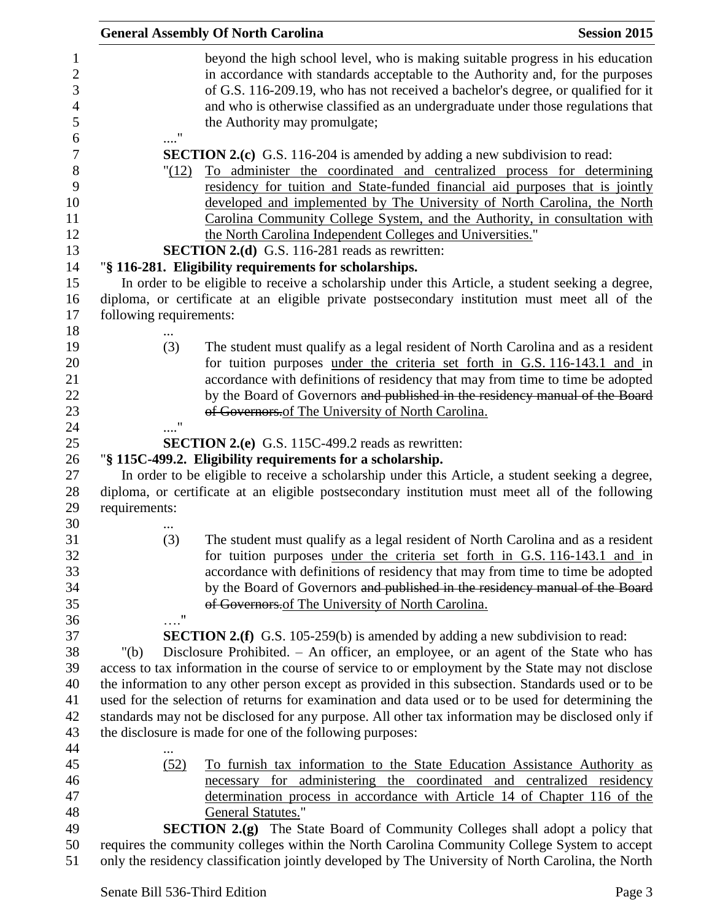|                                                                         |                                                                                                                                                                                                                              | <b>General Assembly Of North Carolina</b>                                                                                                                                                                                                                                                                                                                                                                                                                                                                             | <b>Session 2015</b> |  |  |
|-------------------------------------------------------------------------|------------------------------------------------------------------------------------------------------------------------------------------------------------------------------------------------------------------------------|-----------------------------------------------------------------------------------------------------------------------------------------------------------------------------------------------------------------------------------------------------------------------------------------------------------------------------------------------------------------------------------------------------------------------------------------------------------------------------------------------------------------------|---------------------|--|--|
| $\mathbf{1}$<br>$\mathbf{2}$<br>3<br>$\overline{\mathcal{A}}$<br>5<br>6 |                                                                                                                                                                                                                              | beyond the high school level, who is making suitable progress in his education<br>in accordance with standards acceptable to the Authority and, for the purposes<br>of G.S. 116-209.19, who has not received a bachelor's degree, or qualified for it<br>and who is otherwise classified as an undergraduate under those regulations that<br>the Authority may promulgate;                                                                                                                                            |                     |  |  |
| 7<br>$8\,$<br>9<br>10<br>11<br>12<br>13                                 | "(12)                                                                                                                                                                                                                        | <b>SECTION 2.(c)</b> G.S. 116-204 is amended by adding a new subdivision to read:<br>To administer the coordinated and centralized process for determining<br>residency for tuition and State-funded financial aid purposes that is jointly<br>developed and implemented by The University of North Carolina, the North<br>Carolina Community College System, and the Authority, in consultation with<br>the North Carolina Independent Colleges and Universities."<br>SECTION 2.(d) G.S. 116-281 reads as rewritten: |                     |  |  |
| 14                                                                      |                                                                                                                                                                                                                              | "§ 116-281. Eligibility requirements for scholarships.                                                                                                                                                                                                                                                                                                                                                                                                                                                                |                     |  |  |
| 15<br>16<br>17                                                          | In order to be eligible to receive a scholarship under this Article, a student seeking a degree,<br>diploma, or certificate at an eligible private postsecondary institution must meet all of the<br>following requirements: |                                                                                                                                                                                                                                                                                                                                                                                                                                                                                                                       |                     |  |  |
| 18                                                                      |                                                                                                                                                                                                                              |                                                                                                                                                                                                                                                                                                                                                                                                                                                                                                                       |                     |  |  |
| 19<br>20<br>21<br>22<br>23<br>24                                        | (3)                                                                                                                                                                                                                          | The student must qualify as a legal resident of North Carolina and as a resident<br>for tuition purposes under the criteria set forth in G.S. 116-143.1 and in<br>accordance with definitions of residency that may from time to time be adopted<br>by the Board of Governors and published in the residency manual of the Board<br>of Governors.of The University of North Carolina.                                                                                                                                 |                     |  |  |
| 25                                                                      |                                                                                                                                                                                                                              | <b>SECTION 2.(e)</b> G.S. 115C-499.2 reads as rewritten:                                                                                                                                                                                                                                                                                                                                                                                                                                                              |                     |  |  |
| 26<br>27<br>28<br>29<br>30                                              | requirements:                                                                                                                                                                                                                | "§ 115C-499.2. Eligibility requirements for a scholarship.<br>In order to be eligible to receive a scholarship under this Article, a student seeking a degree,<br>diploma, or certificate at an eligible postsecondary institution must meet all of the following                                                                                                                                                                                                                                                     |                     |  |  |
| 31<br>32<br>33<br>34<br>35<br>36                                        | (3)<br>$\ldots$ "                                                                                                                                                                                                            | The student must qualify as a legal resident of North Carolina and as a resident<br>for tuition purposes <u>under the criteria set forth in G.S. 116-143.1</u> and in<br>accordance with definitions of residency that may from time to time be adopted<br>by the Board of Governors and published in the residency manual of the Board<br>of Governors. of The University of North Carolina.                                                                                                                         |                     |  |  |
| 37                                                                      |                                                                                                                                                                                                                              | <b>SECTION 2.(f)</b> G.S. 105-259(b) is amended by adding a new subdivision to read:                                                                                                                                                                                                                                                                                                                                                                                                                                  |                     |  |  |
| 38                                                                      | " $(b)$                                                                                                                                                                                                                      | Disclosure Prohibited. – An officer, an employee, or an agent of the State who has                                                                                                                                                                                                                                                                                                                                                                                                                                    |                     |  |  |
| 39                                                                      |                                                                                                                                                                                                                              |                                                                                                                                                                                                                                                                                                                                                                                                                                                                                                                       |                     |  |  |
| 40                                                                      | access to tax information in the course of service to or employment by the State may not disclose                                                                                                                            |                                                                                                                                                                                                                                                                                                                                                                                                                                                                                                                       |                     |  |  |
| 41                                                                      | the information to any other person except as provided in this subsection. Standards used or to be                                                                                                                           |                                                                                                                                                                                                                                                                                                                                                                                                                                                                                                                       |                     |  |  |
| 42                                                                      | used for the selection of returns for examination and data used or to be used for determining the                                                                                                                            |                                                                                                                                                                                                                                                                                                                                                                                                                                                                                                                       |                     |  |  |
| 43                                                                      | standards may not be disclosed for any purpose. All other tax information may be disclosed only if<br>the disclosure is made for one of the following purposes:                                                              |                                                                                                                                                                                                                                                                                                                                                                                                                                                                                                                       |                     |  |  |
| 44                                                                      |                                                                                                                                                                                                                              |                                                                                                                                                                                                                                                                                                                                                                                                                                                                                                                       |                     |  |  |
| 45                                                                      | (52)                                                                                                                                                                                                                         | To furnish tax information to the State Education Assistance Authority as                                                                                                                                                                                                                                                                                                                                                                                                                                             |                     |  |  |
| 46                                                                      |                                                                                                                                                                                                                              | necessary for administering the coordinated and centralized residency                                                                                                                                                                                                                                                                                                                                                                                                                                                 |                     |  |  |
| 47                                                                      |                                                                                                                                                                                                                              | determination process in accordance with Article 14 of Chapter 116 of the                                                                                                                                                                                                                                                                                                                                                                                                                                             |                     |  |  |
| 48                                                                      |                                                                                                                                                                                                                              | <b>General Statutes."</b>                                                                                                                                                                                                                                                                                                                                                                                                                                                                                             |                     |  |  |
| 49                                                                      |                                                                                                                                                                                                                              | <b>SECTION 2.(g)</b> The State Board of Community Colleges shall adopt a policy that                                                                                                                                                                                                                                                                                                                                                                                                                                  |                     |  |  |
| 50                                                                      | requires the community colleges within the North Carolina Community College System to accept                                                                                                                                 |                                                                                                                                                                                                                                                                                                                                                                                                                                                                                                                       |                     |  |  |
| 51                                                                      | only the residency classification jointly developed by The University of North Carolina, the North                                                                                                                           |                                                                                                                                                                                                                                                                                                                                                                                                                                                                                                                       |                     |  |  |